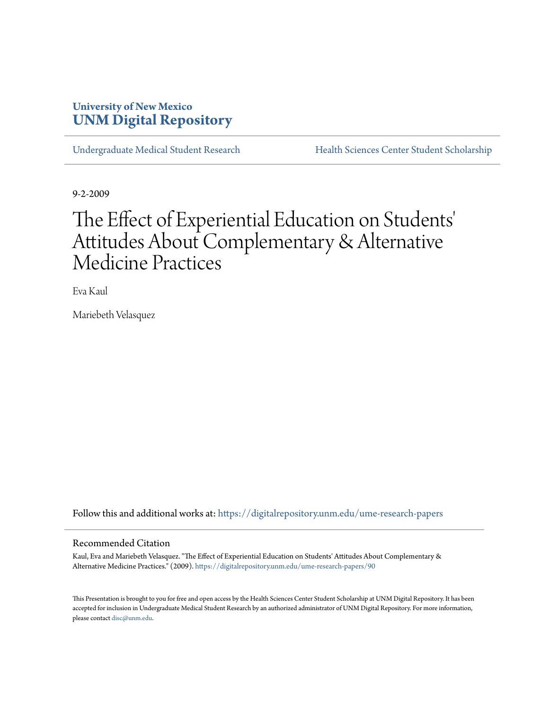# **University of New Mexico [UNM Digital Repository](https://digitalrepository.unm.edu?utm_source=digitalrepository.unm.edu%2Fume-research-papers%2F90&utm_medium=PDF&utm_campaign=PDFCoverPages)**

[Undergraduate Medical Student Research](https://digitalrepository.unm.edu/ume-research-papers?utm_source=digitalrepository.unm.edu%2Fume-research-papers%2F90&utm_medium=PDF&utm_campaign=PDFCoverPages) [Health Sciences Center Student Scholarship](https://digitalrepository.unm.edu/hsc-students?utm_source=digitalrepository.unm.edu%2Fume-research-papers%2F90&utm_medium=PDF&utm_campaign=PDFCoverPages)

9-2-2009

# The Effect of Experiential Education on Students 'Attitudes About Complementary & Alternative Medicine Practices

Eva Kaul

Mariebeth Velasquez

Follow this and additional works at: [https://digitalrepository.unm.edu/ume-research-papers](https://digitalrepository.unm.edu/ume-research-papers?utm_source=digitalrepository.unm.edu%2Fume-research-papers%2F90&utm_medium=PDF&utm_campaign=PDFCoverPages)

#### Recommended Citation

Kaul, Eva and Mariebeth Velasquez. "The Effect of Experiential Education on Students' Attitudes About Complementary & Alternative Medicine Practices." (2009). [https://digitalrepository.unm.edu/ume-research-papers/90](https://digitalrepository.unm.edu/ume-research-papers/90?utm_source=digitalrepository.unm.edu%2Fume-research-papers%2F90&utm_medium=PDF&utm_campaign=PDFCoverPages)

This Presentation is brought to you for free and open access by the Health Sciences Center Student Scholarship at UNM Digital Repository. It has been accepted for inclusion in Undergraduate Medical Student Research by an authorized administrator of UNM Digital Repository. For more information, please contact [disc@unm.edu.](mailto:disc@unm.edu)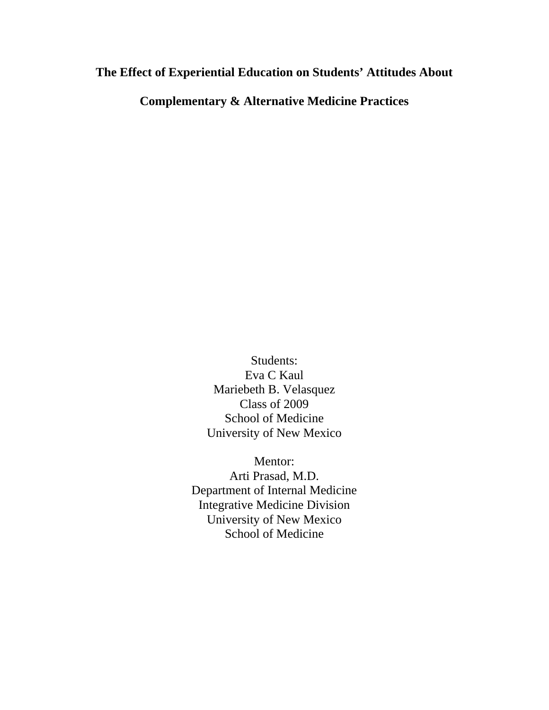# **The Effect of Experiential Education on Students' Attitudes About**

**Complementary & Alternative Medicine Practices** 

Students: Eva C Kaul Mariebeth B. Velasquez Class of 2009 School of Medicine University of New Mexico

Mentor: Arti Prasad, M.D. Department of Internal Medicine Integrative Medicine Division University of New Mexico School of Medicine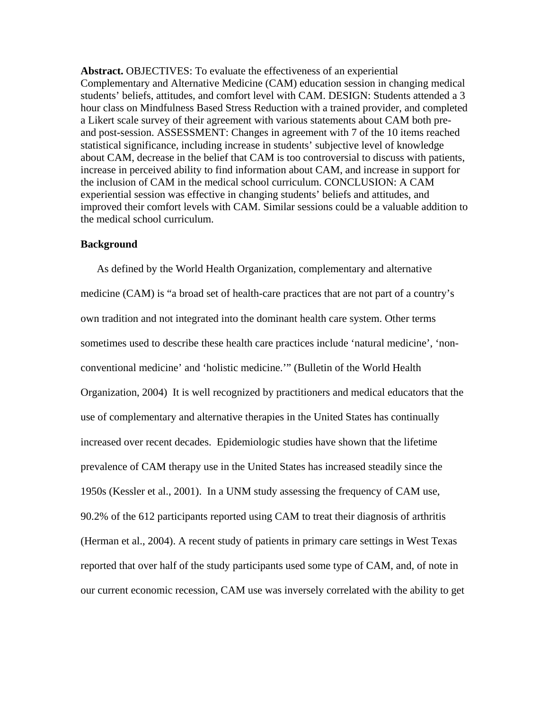**Abstract.** OBJECTIVES: To evaluate the effectiveness of an experiential Complementary and Alternative Medicine (CAM) education session in changing medical students' beliefs, attitudes, and comfort level with CAM. DESIGN: Students attended a 3 hour class on Mindfulness Based Stress Reduction with a trained provider, and completed a Likert scale survey of their agreement with various statements about CAM both preand post-session. ASSESSMENT: Changes in agreement with 7 of the 10 items reached statistical significance, including increase in students' subjective level of knowledge about CAM, decrease in the belief that CAM is too controversial to discuss with patients, increase in perceived ability to find information about CAM, and increase in support for the inclusion of CAM in the medical school curriculum. CONCLUSION: A CAM experiential session was effective in changing students' beliefs and attitudes, and improved their comfort levels with CAM. Similar sessions could be a valuable addition to the medical school curriculum.

### **Background**

As defined by the World Health Organization, complementary and alternative medicine (CAM) is "a broad set of health-care practices that are not part of a country's own tradition and not integrated into the dominant health care system. Other terms sometimes used to describe these health care practices include 'natural medicine', 'nonconventional medicine' and 'holistic medicine.'" (Bulletin of the World Health Organization, 2004) It is well recognized by practitioners and medical educators that the use of complementary and alternative therapies in the United States has continually increased over recent decades. Epidemiologic studies have shown that the lifetime prevalence of CAM therapy use in the United States has increased steadily since the 1950s (Kessler et al., 2001). In a UNM study assessing the frequency of CAM use, 90.2% of the 612 participants reported using CAM to treat their diagnosis of arthritis (Herman et al., 2004). A recent study of patients in primary care settings in West Texas reported that over half of the study participants used some type of CAM, and, of note in our current economic recession, CAM use was inversely correlated with the ability to get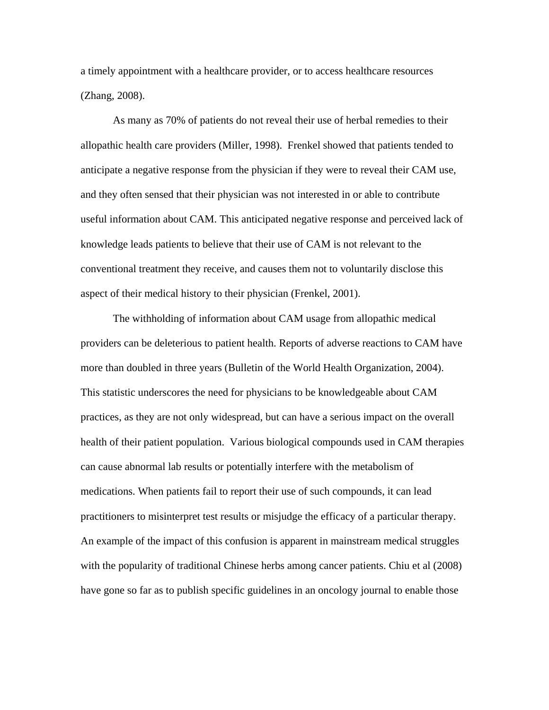a timely appointment with a healthcare provider, or to access healthcare resources (Zhang, 2008).

As many as 70% of patients do not reveal their use of herbal remedies to their allopathic health care providers (Miller, 1998). Frenkel showed that patients tended to anticipate a negative response from the physician if they were to reveal their CAM use, and they often sensed that their physician was not interested in or able to contribute useful information about CAM. This anticipated negative response and perceived lack of knowledge leads patients to believe that their use of CAM is not relevant to the conventional treatment they receive, and causes them not to voluntarily disclose this aspect of their medical history to their physician (Frenkel, 2001).

The withholding of information about CAM usage from allopathic medical providers can be deleterious to patient health. Reports of adverse reactions to CAM have more than doubled in three years (Bulletin of the World Health Organization, 2004). This statistic underscores the need for physicians to be knowledgeable about CAM practices, as they are not only widespread, but can have a serious impact on the overall health of their patient population. Various biological compounds used in CAM therapies can cause abnormal lab results or potentially interfere with the metabolism of medications. When patients fail to report their use of such compounds, it can lead practitioners to misinterpret test results or misjudge the efficacy of a particular therapy. An example of the impact of this confusion is apparent in mainstream medical struggles with the popularity of traditional Chinese herbs among cancer patients. Chiu et al (2008) have gone so far as to publish specific guidelines in an oncology journal to enable those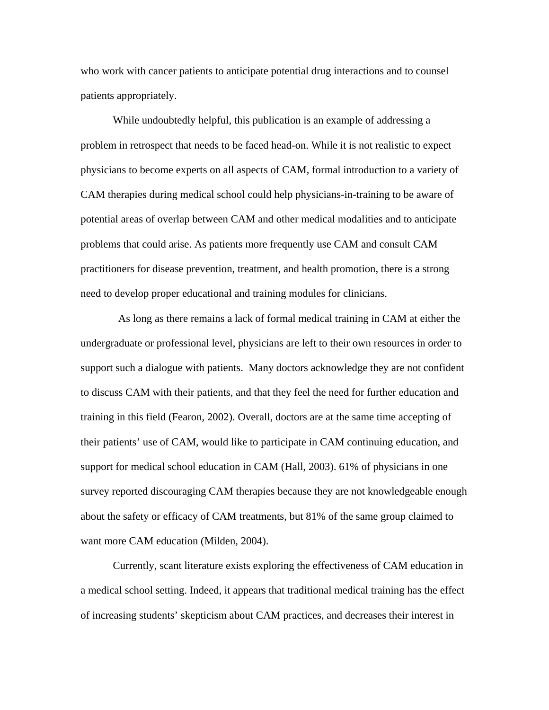who work with cancer patients to anticipate potential drug interactions and to counsel patients appropriately.

While undoubtedly helpful, this publication is an example of addressing a problem in retrospect that needs to be faced head-on. While it is not realistic to expect physicians to become experts on all aspects of CAM, formal introduction to a variety of CAM therapies during medical school could help physicians-in-training to be aware of potential areas of overlap between CAM and other medical modalities and to anticipate problems that could arise. As patients more frequently use CAM and consult CAM practitioners for disease prevention, treatment, and health promotion, there is a strong need to develop proper educational and training modules for clinicians.

 As long as there remains a lack of formal medical training in CAM at either the undergraduate or professional level, physicians are left to their own resources in order to support such a dialogue with patients. Many doctors acknowledge they are not confident to discuss CAM with their patients, and that they feel the need for further education and training in this field (Fearon, 2002). Overall, doctors are at the same time accepting of their patients' use of CAM, would like to participate in CAM continuing education, and support for medical school education in CAM (Hall, 2003). 61% of physicians in one survey reported discouraging CAM therapies because they are not knowledgeable enough about the safety or efficacy of CAM treatments, but 81% of the same group claimed to want more CAM education (Milden, 2004).

 Currently, scant literature exists exploring the effectiveness of CAM education in a medical school setting. Indeed, it appears that traditional medical training has the effect of increasing students' skepticism about CAM practices, and decreases their interest in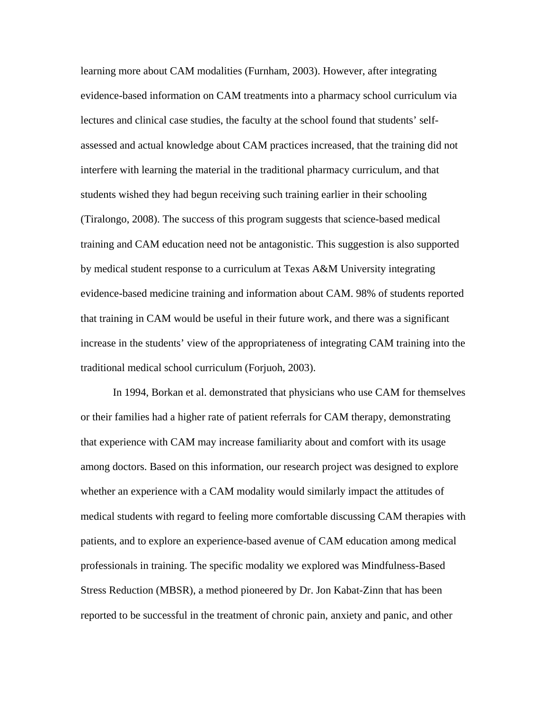learning more about CAM modalities (Furnham, 2003). However, after integrating evidence-based information on CAM treatments into a pharmacy school curriculum via lectures and clinical case studies, the faculty at the school found that students' selfassessed and actual knowledge about CAM practices increased, that the training did not interfere with learning the material in the traditional pharmacy curriculum, and that students wished they had begun receiving such training earlier in their schooling (Tiralongo, 2008). The success of this program suggests that science-based medical training and CAM education need not be antagonistic. This suggestion is also supported by medical student response to a curriculum at Texas A&M University integrating evidence-based medicine training and information about CAM. 98% of students reported that training in CAM would be useful in their future work, and there was a significant increase in the students' view of the appropriateness of integrating CAM training into the traditional medical school curriculum (Forjuoh, 2003).

In 1994, Borkan et al. demonstrated that physicians who use CAM for themselves or their families had a higher rate of patient referrals for CAM therapy, demonstrating that experience with CAM may increase familiarity about and comfort with its usage among doctors. Based on this information, our research project was designed to explore whether an experience with a CAM modality would similarly impact the attitudes of medical students with regard to feeling more comfortable discussing CAM therapies with patients, and to explore an experience-based avenue of CAM education among medical professionals in training. The specific modality we explored was Mindfulness-Based Stress Reduction (MBSR), a method pioneered by Dr. Jon Kabat-Zinn that has been reported to be successful in the treatment of chronic pain, anxiety and panic, and other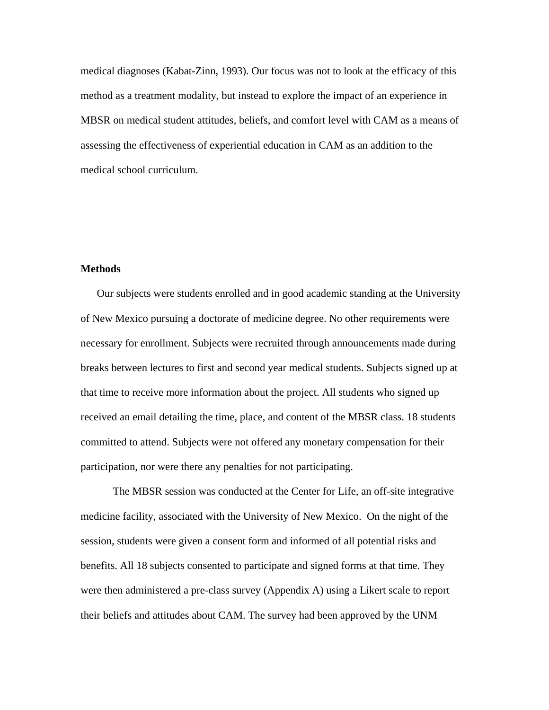medical diagnoses (Kabat-Zinn, 1993). Our focus was not to look at the efficacy of this method as a treatment modality, but instead to explore the impact of an experience in MBSR on medical student attitudes, beliefs, and comfort level with CAM as a means of assessing the effectiveness of experiential education in CAM as an addition to the medical school curriculum.

## **Methods**

Our subjects were students enrolled and in good academic standing at the University of New Mexico pursuing a doctorate of medicine degree. No other requirements were necessary for enrollment. Subjects were recruited through announcements made during breaks between lectures to first and second year medical students. Subjects signed up at that time to receive more information about the project. All students who signed up received an email detailing the time, place, and content of the MBSR class. 18 students committed to attend. Subjects were not offered any monetary compensation for their participation, nor were there any penalties for not participating.

 The MBSR session was conducted at the Center for Life, an off-site integrative medicine facility, associated with the University of New Mexico. On the night of the session, students were given a consent form and informed of all potential risks and benefits. All 18 subjects consented to participate and signed forms at that time. They were then administered a pre-class survey (Appendix A) using a Likert scale to report their beliefs and attitudes about CAM. The survey had been approved by the UNM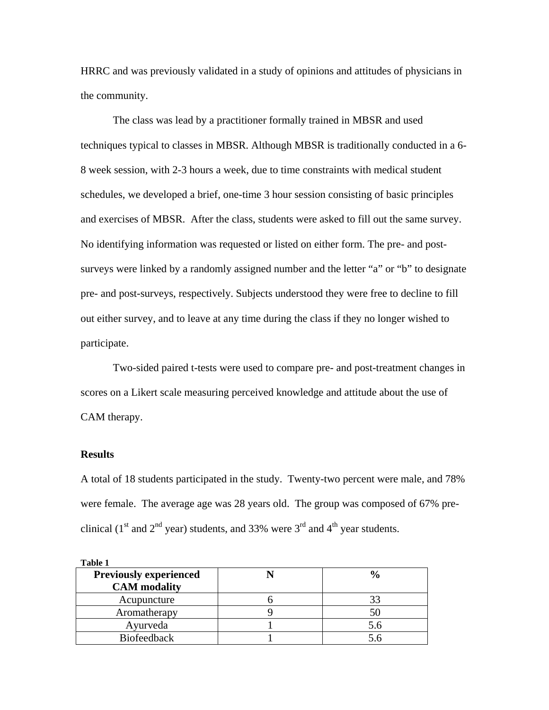HRRC and was previously validated in a study of opinions and attitudes of physicians in the community.

 The class was lead by a practitioner formally trained in MBSR and used techniques typical to classes in MBSR. Although MBSR is traditionally conducted in a 6- 8 week session, with 2-3 hours a week, due to time constraints with medical student schedules, we developed a brief, one-time 3 hour session consisting of basic principles and exercises of MBSR. After the class, students were asked to fill out the same survey. No identifying information was requested or listed on either form. The pre- and postsurveys were linked by a randomly assigned number and the letter "a" or "b" to designate pre- and post-surveys, respectively. Subjects understood they were free to decline to fill out either survey, and to leave at any time during the class if they no longer wished to participate.

 Two-sided paired t-tests were used to compare pre- and post-treatment changes in scores on a Likert scale measuring perceived knowledge and attitude about the use of CAM therapy.

#### **Results**

**Table 1** 

A total of 18 students participated in the study. Twenty-two percent were male, and 78% were female. The average age was 28 years old. The group was composed of 67% preclinical ( $1<sup>st</sup>$  and  $2<sup>nd</sup>$  year) students, and 33% were  $3<sup>rd</sup>$  and  $4<sup>th</sup>$  year students.

| - - - - - -                   |  |               |  |  |  |
|-------------------------------|--|---------------|--|--|--|
| <b>Previously experienced</b> |  | $\frac{0}{0}$ |  |  |  |
| <b>CAM</b> modality           |  |               |  |  |  |
| Acupuncture                   |  |               |  |  |  |
| Aromatherapy                  |  |               |  |  |  |
| Ayurveda                      |  | D.C           |  |  |  |
| <b>Biofeedback</b>            |  |               |  |  |  |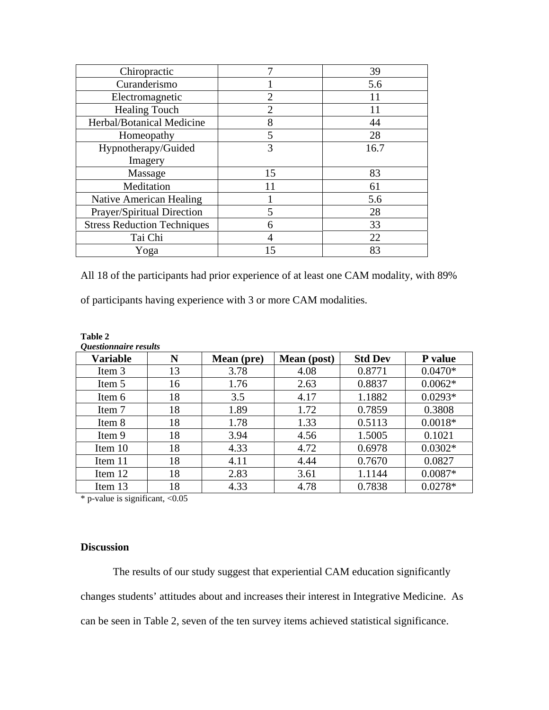| Chiropractic                       |    | 39   |  |
|------------------------------------|----|------|--|
| Curanderismo                       |    | 5.6  |  |
| Electromagnetic                    | 7  | 11   |  |
| <b>Healing Touch</b>               |    |      |  |
| Herbal/Botanical Medicine          | 8  | 44   |  |
| Homeopathy                         |    | 28   |  |
| Hypnotherapy/Guided                | 3  | 16.7 |  |
| Imagery                            |    |      |  |
| Massage                            | 15 | 83   |  |
| Meditation                         |    | 61   |  |
| <b>Native American Healing</b>     |    | 5.6  |  |
| Prayer/Spiritual Direction         |    | 28   |  |
| <b>Stress Reduction Techniques</b> |    | 33   |  |
| Tai Chi                            |    | 22   |  |
| Yoga                               | 15 | 83   |  |

All 18 of the participants had prior experience of at least one CAM modality, with 89%

of participants having experience with 3 or more CAM modalities.

| <i><b>Ouestionnaire results</b></i> |    |                   |                    |                |           |
|-------------------------------------|----|-------------------|--------------------|----------------|-----------|
| <b>Variable</b>                     | N  | <b>Mean</b> (pre) | <b>Mean</b> (post) | <b>Std Dev</b> | P value   |
| Item 3                              | 13 | 3.78              | 4.08               | 0.8771         | $0.0470*$ |
| Item 5                              | 16 | 1.76              | 2.63               | 0.8837         | $0.0062*$ |
| Item 6                              | 18 | 3.5               | 4.17               | 1.1882         | $0.0293*$ |
| Item 7                              | 18 | 1.89              | 1.72               | 0.7859         | 0.3808    |
| Item 8                              | 18 | 1.78              | 1.33               | 0.5113         | $0.0018*$ |
| Item 9                              | 18 | 3.94              | 4.56               | 1.5005         | 0.1021    |
| Item 10                             | 18 | 4.33              | 4.72               | 0.6978         | $0.0302*$ |
| Item 11                             | 18 | 4.11              | 4.44               | 0.7670         | 0.0827    |
| Item 12                             | 18 | 2.83              | 3.61               | 1.1144         | $0.0087*$ |
| Item 13                             | 18 | 4.33              | 4.78               | 0.7838         | $0.0278*$ |

**Table 2**  *Questionnaire results* 

 $*$  p-value is significant,  $< 0.05$ 

# **Discussion**

The results of our study suggest that experiential CAM education significantly changes students' attitudes about and increases their interest in Integrative Medicine. As can be seen in Table 2, seven of the ten survey items achieved statistical significance.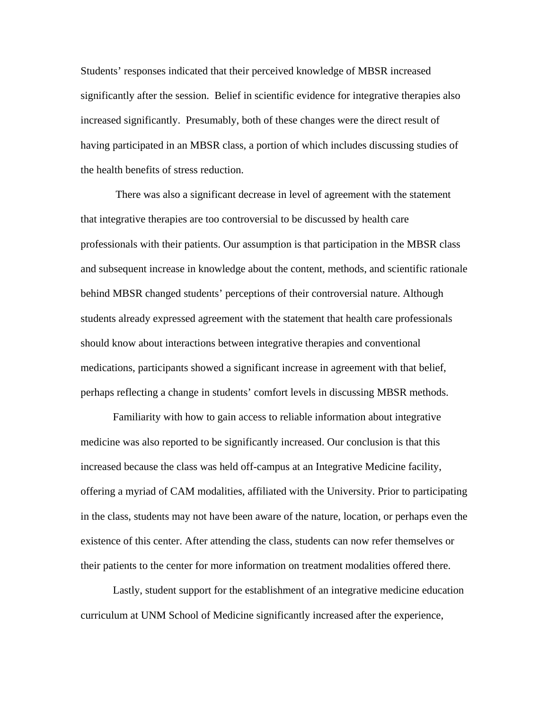Students' responses indicated that their perceived knowledge of MBSR increased significantly after the session. Belief in scientific evidence for integrative therapies also increased significantly. Presumably, both of these changes were the direct result of having participated in an MBSR class, a portion of which includes discussing studies of the health benefits of stress reduction.

 There was also a significant decrease in level of agreement with the statement that integrative therapies are too controversial to be discussed by health care professionals with their patients. Our assumption is that participation in the MBSR class and subsequent increase in knowledge about the content, methods, and scientific rationale behind MBSR changed students' perceptions of their controversial nature. Although students already expressed agreement with the statement that health care professionals should know about interactions between integrative therapies and conventional medications, participants showed a significant increase in agreement with that belief, perhaps reflecting a change in students' comfort levels in discussing MBSR methods.

Familiarity with how to gain access to reliable information about integrative medicine was also reported to be significantly increased. Our conclusion is that this increased because the class was held off-campus at an Integrative Medicine facility, offering a myriad of CAM modalities, affiliated with the University. Prior to participating in the class, students may not have been aware of the nature, location, or perhaps even the existence of this center. After attending the class, students can now refer themselves or their patients to the center for more information on treatment modalities offered there.

Lastly, student support for the establishment of an integrative medicine education curriculum at UNM School of Medicine significantly increased after the experience,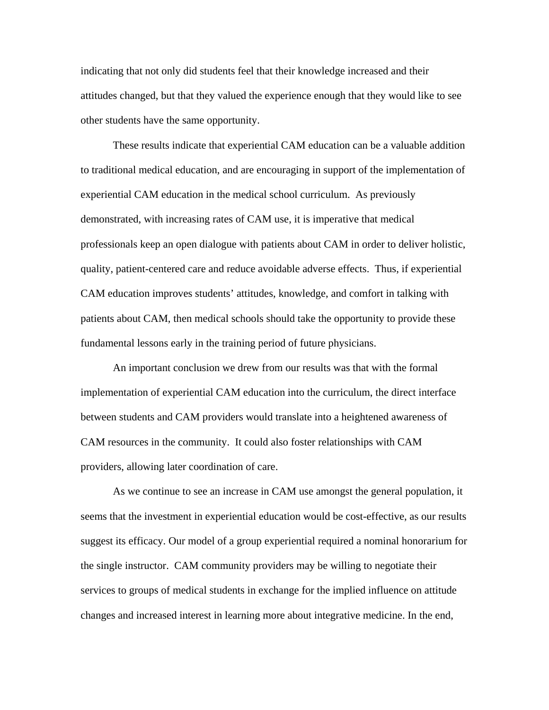indicating that not only did students feel that their knowledge increased and their attitudes changed, but that they valued the experience enough that they would like to see other students have the same opportunity.

These results indicate that experiential CAM education can be a valuable addition to traditional medical education, and are encouraging in support of the implementation of experiential CAM education in the medical school curriculum. As previously demonstrated, with increasing rates of CAM use, it is imperative that medical professionals keep an open dialogue with patients about CAM in order to deliver holistic, quality, patient-centered care and reduce avoidable adverse effects. Thus, if experiential CAM education improves students' attitudes, knowledge, and comfort in talking with patients about CAM, then medical schools should take the opportunity to provide these fundamental lessons early in the training period of future physicians.

An important conclusion we drew from our results was that with the formal implementation of experiential CAM education into the curriculum, the direct interface between students and CAM providers would translate into a heightened awareness of CAM resources in the community. It could also foster relationships with CAM providers, allowing later coordination of care.

As we continue to see an increase in CAM use amongst the general population, it seems that the investment in experiential education would be cost-effective, as our results suggest its efficacy. Our model of a group experiential required a nominal honorarium for the single instructor. CAM community providers may be willing to negotiate their services to groups of medical students in exchange for the implied influence on attitude changes and increased interest in learning more about integrative medicine. In the end,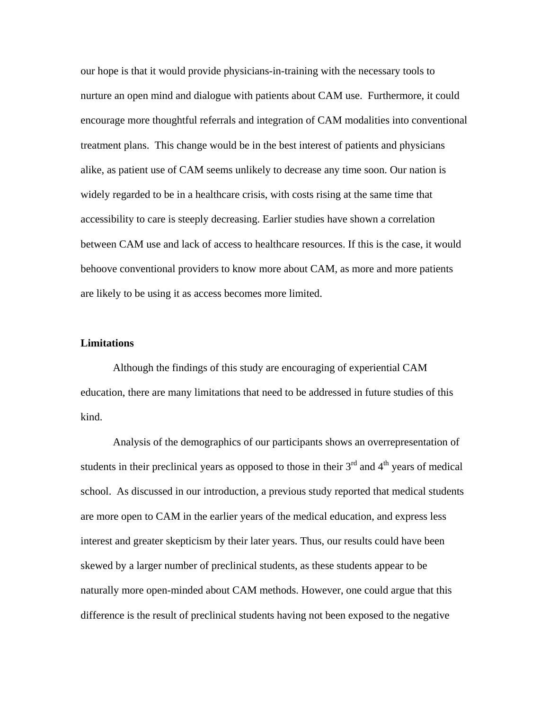our hope is that it would provide physicians-in-training with the necessary tools to nurture an open mind and dialogue with patients about CAM use. Furthermore, it could encourage more thoughtful referrals and integration of CAM modalities into conventional treatment plans. This change would be in the best interest of patients and physicians alike, as patient use of CAM seems unlikely to decrease any time soon. Our nation is widely regarded to be in a healthcare crisis, with costs rising at the same time that accessibility to care is steeply decreasing. Earlier studies have shown a correlation between CAM use and lack of access to healthcare resources. If this is the case, it would behoove conventional providers to know more about CAM, as more and more patients are likely to be using it as access becomes more limited.

#### **Limitations**

Although the findings of this study are encouraging of experiential CAM education, there are many limitations that need to be addressed in future studies of this kind.

Analysis of the demographics of our participants shows an overrepresentation of students in their preclinical years as opposed to those in their  $3<sup>rd</sup>$  and  $4<sup>th</sup>$  years of medical school. As discussed in our introduction, a previous study reported that medical students are more open to CAM in the earlier years of the medical education, and express less interest and greater skepticism by their later years. Thus, our results could have been skewed by a larger number of preclinical students, as these students appear to be naturally more open-minded about CAM methods. However, one could argue that this difference is the result of preclinical students having not been exposed to the negative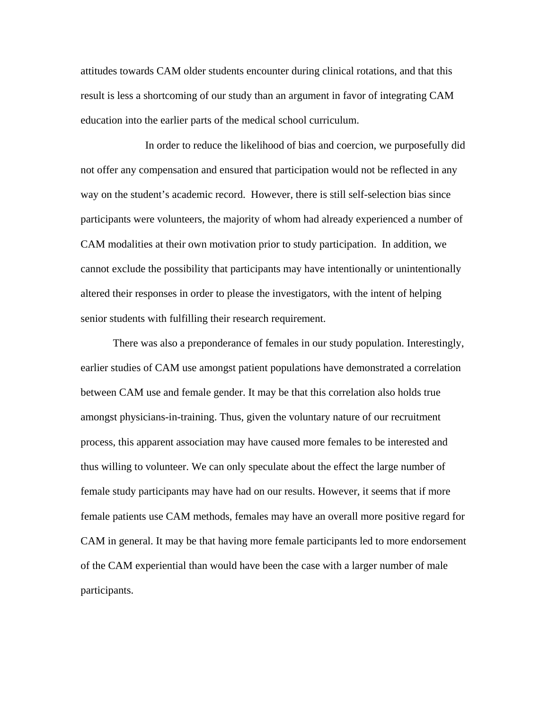attitudes towards CAM older students encounter during clinical rotations, and that this result is less a shortcoming of our study than an argument in favor of integrating CAM education into the earlier parts of the medical school curriculum.

 In order to reduce the likelihood of bias and coercion, we purposefully did not offer any compensation and ensured that participation would not be reflected in any way on the student's academic record. However, there is still self-selection bias since participants were volunteers, the majority of whom had already experienced a number of CAM modalities at their own motivation prior to study participation. In addition, we cannot exclude the possibility that participants may have intentionally or unintentionally altered their responses in order to please the investigators, with the intent of helping senior students with fulfilling their research requirement.

There was also a preponderance of females in our study population. Interestingly, earlier studies of CAM use amongst patient populations have demonstrated a correlation between CAM use and female gender. It may be that this correlation also holds true amongst physicians-in-training. Thus, given the voluntary nature of our recruitment process, this apparent association may have caused more females to be interested and thus willing to volunteer. We can only speculate about the effect the large number of female study participants may have had on our results. However, it seems that if more female patients use CAM methods, females may have an overall more positive regard for CAM in general. It may be that having more female participants led to more endorsement of the CAM experiential than would have been the case with a larger number of male participants.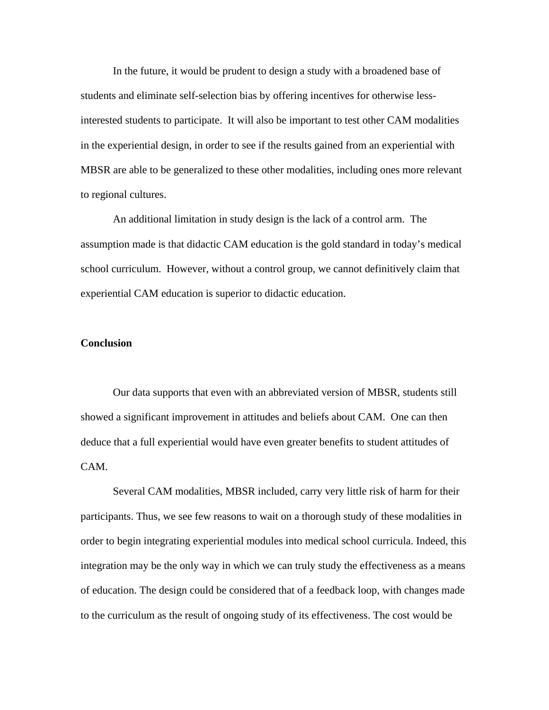In the future, it would be prudent to design a study with a broadened base of students and eliminate self-selection bias by offering incentives for otherwise lessinterested students to participate. It will also be important to test other CAM modalities in the experiential design, in order to see if the results gained from an experiential with MBSR are able to be generalized to these other modalities, including ones more relevant to regional cultures.

An additional limitation in study design is the lack of a control arm. The assumption made is that didactic CAM education is the gold standard in today's medical school curriculum. However, without a control group, we cannot definitively claim that experiential CAM education is superior to didactic education.

## **Conclusion**

Our data supports that even with an abbreviated version of MBSR, students still showed a significant improvement in attitudes and beliefs about CAM. One can then deduce that a full experiential would have even greater benefits to student attitudes of CAM.

 Several CAM modalities, MBSR included, carry very little risk of harm for their participants. Thus, we see few reasons to wait on a thorough study of these modalities in order to begin integrating experiential modules into medical school curricula. Indeed, this integration may be the only way in which we can truly study the effectiveness as a means of education. The design could be considered that of a feedback loop, with changes made to the curriculum as the result of ongoing study of its effectiveness. The cost would be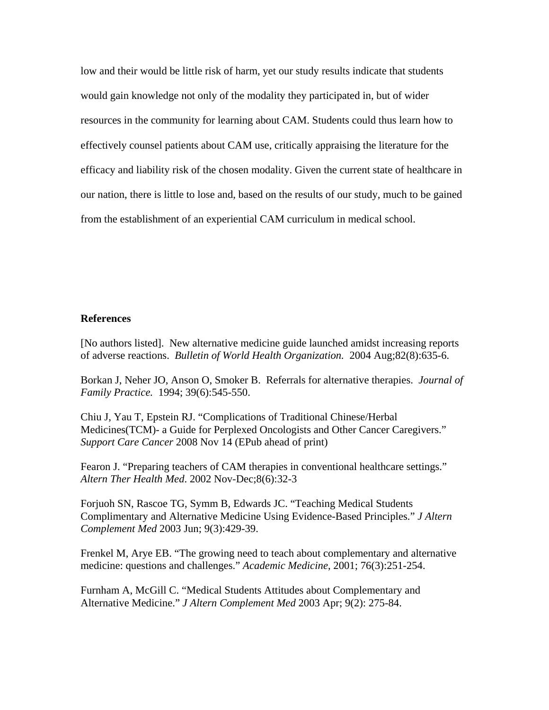low and their would be little risk of harm, yet our study results indicate that students would gain knowledge not only of the modality they participated in, but of wider resources in the community for learning about CAM. Students could thus learn how to effectively counsel patients about CAM use, critically appraising the literature for the efficacy and liability risk of the chosen modality. Given the current state of healthcare in our nation, there is little to lose and, based on the results of our study, much to be gained from the establishment of an experiential CAM curriculum in medical school.

#### **References**

[No authors listed]. New alternative medicine guide launched amidst increasing reports of adverse reactions. *Bulletin of World Health Organization.* 2004 Aug;82(8):635-6.

Borkan J, Neher JO, Anson O, Smoker B. Referrals for alternative therapies. *Journal of Family Practice.* 1994; 39(6):545-550.

Chiu J, Yau T, Epstein RJ. "Complications of Traditional Chinese/Herbal Medicines(TCM)- a Guide for Perplexed Oncologists and Other Cancer Caregivers." *Support Care Cancer* 2008 Nov 14 (EPub ahead of print)

Fearon J. "Preparing teachers of CAM therapies in conventional healthcare settings." *Altern Ther Health Med*. 2002 Nov-Dec;8(6):32-3

Forjuoh SN, Rascoe TG, Symm B, Edwards JC. "Teaching Medical Students Complimentary and Alternative Medicine Using Evidence-Based Principles." *J Altern Complement Med* 2003 Jun; 9(3):429-39.

Frenkel M, Arye EB. "The growing need to teach about complementary and alternative medicine: questions and challenges." *Academic Medicine*, 2001; 76(3):251-254.

Furnham A, McGill C. "Medical Students Attitudes about Complementary and Alternative Medicine." *J Altern Complement Med* 2003 Apr; 9(2): 275-84.